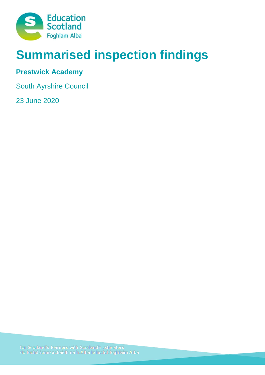

# **Summarised inspection findings**

# **Prestwick Academy**

South Ayrshire Council

23 June 2020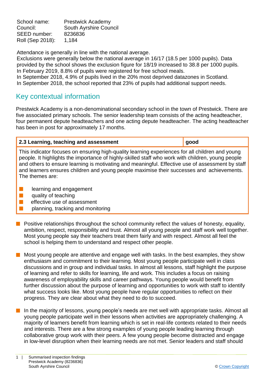School name: Prestwick Academy Council: South Ayrshire Council SEED number: 8236836 Roll (Sep 2018): 1,184

Attendance is generally in line with the national average.

Exclusions were generally below the national average in 16/17 (18.5 per 1000 pupils). Data provided by the school shows the exclusion figure for 18/19 increased to 38.8 per 1000 pupils*.*  In February 2019, 8.8% of pupils were registered for free school meals.

In September 2018, 4.9% of pupils lived in the 20% most deprived datazones in Scotland. In September 2018, the school reported that 23% of pupils had additional support needs.

# Key contextual information

Prestwick Academy is a non-denominational secondary school in the town of Prestwick. There are five associated primary schools. The senior leadership team consists of the acting headteacher, four permanent depute headteachers and one acting depute headteacher. The acting headteacher has been in post for approximately 17 months.

## **2.3 Learning, teaching and assessment good**

This indicator focuses on ensuring high-quality learning experiences for all children and young people. It highlights the importance of highly-skilled staff who work with children, young people and others to ensure learning is motivating and meaningful. Effective use of assessment by staff and learners ensures children and young people maximise their successes and achievements. The themes are:

- $\blacksquare$  learning and engagement
- $\blacksquare$  quality of teaching
- $\blacksquare$  effective use of assessment
- n planning, tracking and monitoring
- $\blacksquare$  Positive relationships throughout the school community reflect the values of honesty, equality, ambition, respect, responsibility and trust. Almost all young people and staff work well together. Most young people say their teachers treat them fairly and with respect. Almost all feel the school is helping them to understand and respect other people.
- Most young people are attentive and engage well with tasks. In the best examples, they show enthusiasm and commitment to their learning. Most young people participate well in class discussions and in group and individual tasks. In almost all lessons, staff highlight the purpose of learning and refer to skills for learning, life and work. This includes a focus on raising awareness of employability skills and career pathways. Young people would benefit from further discussion about the purpose of learning and opportunities to work with staff to identify what success looks like. Most young people have regular opportunities to reflect on their progress. They are clear about what they need to do to succeed.
- $\blacksquare$  In the majority of lessons, young people's needs are met well with appropriate tasks. Almost all young people participate well in their lessons when activities are appropriately challenging. A majority of learners benefit from learning which is set in real-life contexts related to their needs and interests. There are a few strong examples of young people leading learning through collaborative group work with their peers. A few young people become distracted and engage in low-level disruption when their learning needs are not met. Senior leaders and staff should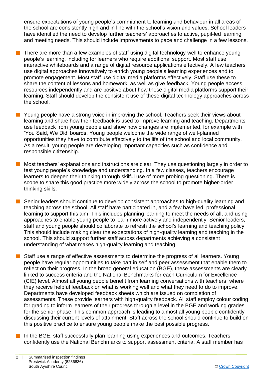ensure expectations of young people's commitment to learning and behaviour in all areas of the school are consistently high and in line with the school's vision and values. School leaders have identified the need to develop further teachers' approaches to active, pupil-led learning and meeting needs. This should include improvements to pace and challenge in a few lessons.

- There are more than a few examples of staff using digital technology well to enhance young people's learning, including for learners who require additional support. Most staff use interactive whiteboards and a range of digital resource applications effectively. A few teachers use digital approaches innovatively to enrich young people's learning experiences and to promote engagement. Most staff use digital media platforms effectively. Staff use these to share the content of lessons and homework, as well as give feedback. Young people access resources independently and are positive about how these digital media platforms support their learning. Staff should develop the consistent use of these digital technology approaches across the school.
- **n** Young people have a strong voice in improving the school. Teachers seek their views about learning and share how their feedback is used to improve learning and teaching. Departments use feedback from young people and show how changes are implemented, for example with 'You Said, We Did' boards. Young people welcome the wide range of well-planned opportunities they have to contribute effectively to the life of the school and local community. As a result, young people are developing important capacities such as confidence and responsible citizenship.
- $\blacksquare$  Most teachers' explanations and instructions are clear. They use questioning largely in order to test young people's knowledge and understanding. In a few classes, teachers encourage learners to deepen their thinking through skilful use of more probing questioning. There is scope to share this good practice more widely across the school to promote higher-order thinking skills.
	- Senior leaders should continue to develop consistent approaches to high-quality learning and teaching across the school. All staff have participated in, and a few have led, professional learning to support this aim. This includes planning learning to meet the needs of all, and using approaches to enable young people to learn more actively and independently. Senior leaders, staff and young people should collaborate to refresh the school's learning and teaching policy. This should include making clear the expectations of high-quality learning and teaching in the school. This should support further staff across departments achieving a consistent understanding of what makes high-quality learning and teaching.
	- Staff use a range of effective assessments to determine the progress of all learners. Young people have regular opportunities to take part in self and peer assessment that enable them to reflect on their progress. In the broad general education (BGE), these assessments are clearly linked to success criteria and the National Benchmarks for each Curriculum for Excellence (CfE) level. Almost all young people benefit from learning conversations with teachers, where they receive helpful feedback on what is working well and what they need to do to improve. Departments have developed feedback sheets which are issued on completion of assessments. These provide learners with high-quality feedback. All staff employ colour coding for grading to inform learners of their progress through a level in the BGE and working grades for the senior phase. This common approach is leading to almost all young people confidently discussing their current levels of attainment. Staff across the school should continue to build on this positive practice to ensure young people make the best possible progress.
- $\blacksquare$  In the BGE, staff successfully plan learning using experiences and outcomes. Teachers confidently use the National Benchmarks to support assessment criteria. A staff member has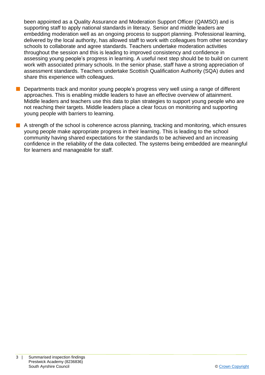been appointed as a Quality Assurance and Moderation Support Officer (QAMSO) and is supporting staff to apply national standards in literacy. Senior and middle leaders are embedding moderation well as an ongoing process to support planning. Professional learning, delivered by the local authority, has allowed staff to work with colleagues from other secondary schools to collaborate and agree standards. Teachers undertake moderation activities throughout the session and this is leading to improved consistency and confidence in assessing young people's progress in learning. A useful next step should be to build on current work with associated primary schools. In the senior phase, staff have a strong appreciation of assessment standards. Teachers undertake Scottish Qualification Authority (SQA) duties and share this experience with colleagues.

- Departments track and monitor young people's progress very well using a range of different approaches. This is enabling middle leaders to have an effective overview of attainment. Middle leaders and teachers use this data to plan strategies to support young people who are not reaching their targets. Middle leaders place a clear focus on monitoring and supporting young people with barriers to learning.
- $\blacksquare$  A strength of the school is coherence across planning, tracking and monitoring, which ensures young people make appropriate progress in their learning. This is leading to the school community having shared expectations for the standards to be achieved and an increasing confidence in the reliability of the data collected. The systems being embedded are meaningful for learners and manageable for staff.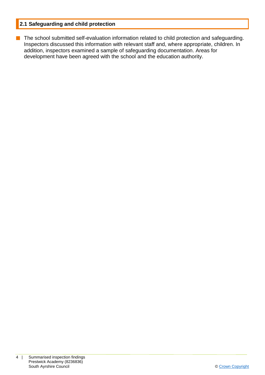## **2.1 Safeguarding and child protection**

**n** The school submitted self-evaluation information related to child protection and safeguarding. Inspectors discussed this information with relevant staff and, where appropriate, children. In addition, inspectors examined a sample of safeguarding documentation. Areas for development have been agreed with the school and the education authority.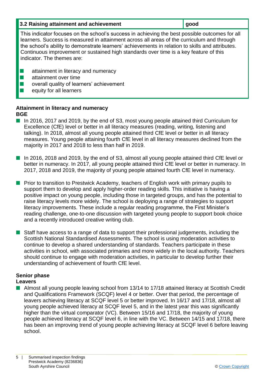| 3.2 Raising attainment and achievement | ∥ good |
|----------------------------------------|--------|
|                                        |        |

This indicator focuses on the school's success in achieving the best possible outcomes for all learners. Success is measured in attainment across all areas of the curriculum and through the school's ability to demonstrate learners' achievements in relation to skills and attributes. Continuous improvement or sustained high standards over time is a key feature of this indicator. The themes are:

- **n** attainment in literacy and numeracy
- $\blacksquare$  attainment over time
- $\blacksquare$  overall quality of learners' achievement
- $\blacksquare$  equity for all learners

#### **Attainment in literacy and numeracy BGE**

- In 2016, 2017 and 2019, by the end of S3, most young people attained third Curriculum for Excellence (CfE) level or better in all literacy measures (reading, writing, listening and talking). In 2018, almost all young people attained third CfE level or better in all literacy measures. Young people attaining fourth CfE level in all literacy measures declined from the majority in 2017 and 2018 to less than half in 2019.
- In 2016, 2018 and 2019, by the end of S3, almost all young people attained third CfE level or better in numeracy. In 2017, all young people attained third CfE level or better in numeracy. In 2017, 2018 and 2019, the majority of young people attained fourth CfE level in numeracy.
- **n** Prior to transition to Prestwick Academy, teachers of English work with primary pupils to support them to develop and apply higher-order reading skills. This initiative is having a positive impact on young people, including those in targeted groups, and has the potential to raise literacy levels more widely. The school is deploying a range of strategies to support literacy improvements. These include a regular reading programme, the First Minister's reading challenge, one-to-one discussion with targeted young people to support book choice and a recently introduced creative writing club.
- **n** Staff have access to a range of data to support their professional judgements, including the Scottish National Standardised Assessments. The school is using moderation activities to continue to develop a shared understanding of standards. Teachers participate in these activities in school, with associated primaries and more widely in the local authority. Teachers should continue to engage with moderation activities, in particular to develop further their understanding of achievement of fourth CfE level.

# **Senior phase**

### **Leavers**

■ Almost all young people leaving school from 13/14 to 17/18 attained literacy at Scottish Credit and Qualifications Framework (SCQF) level 4 or better. Over that period, the percentage of leavers achieving literacy at SCQF level 5 or better improved. In 16/17 and 17/18, almost all young people achieved literacy at SCQF level 5, and in the latest year this was significantly higher than the virtual comparator (VC). Between 15/16 and 17/18, the majority of young people achieved literacy at SCQF level 6, in line with the VC. Between 14/15 and 17/18, there has been an improving trend of young people achieving literacy at SCQF level 6 before leaving school.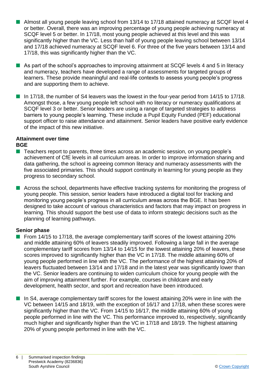- Almost all young people leaving school from 13/14 to 17/18 attained numeracy at SCQF level 4 or better. Overall, there was an improving percentage of young people achieving numeracy at SCQF level 5 or better. In 17/18, most young people achieved at this level and this was significantly higher than the VC. Less than half of young people leaving school between 13/14 and 17/18 achieved numeracy at SCQF level 6. For three of the five years between 13/14 and 17/18, this was significantly higher than the VC.
- $\blacksquare$  As part of the school's approaches to improving attainment at SCQF levels 4 and 5 in literacy and numeracy, teachers have developed a range of assessments for targeted groups of learners. These provide meaningful and real-life contexts to assess young people's progress and are supporting them to achieve.
- $\blacksquare$  In 17/18, the number of S4 leavers was the lowest in the four-year period from 14/15 to 17/18. Amongst those, a few young people left school with no literacy or numeracy qualifications at SCQF level 3 or better. Senior leaders are using a range of targeted strategies to address barriers to young people's learning. These include a Pupil Equity Funded (PEF) educational support officer to raise attendance and attainment. Senior leaders have positive early evidence of the impact of this new initiative.

## **Attainment over time**

#### **BGE**

- Teachers report to parents, three times across an academic session, on young people's achievement of CfE levels in all curriculum areas. In order to improve information sharing and data gathering, the school is agreeing common literacy and numeracy assessments with the five associated primaries. This should support continuity in learning for young people as they progress to secondary school.
- **n** Across the school, departments have effective tracking systems for monitoring the progress of young people. This session, senior leaders have introduced a digital tool for tracking and monitoring young people's progress in all curriculum areas across the BGE. It has been designed to take account of various characteristics and factors that may impact on progress in learning. This should support the best use of data to inform strategic decisions such as the planning of learning pathways.

### **Senior phase**

- From 14/15 to 17/18, the average complementary tariff scores of the lowest attaining 20% and middle attaining 60% of leavers steadily improved. Following a large fall in the average complementary tariff scores from 13/14 to 14/15 for the lowest attaining 20% of leavers, these scores improved to significantly higher than the VC in 17/18. The middle attaining 60% of young people performed in line with the VC. The performance of the highest attaining 20% of leavers fluctuated between 13/14 and 17/18 and in the latest year was significantly lower than the VC. Senior leaders are continuing to widen curriculum choice for young people with the aim of improving attainment further. For example, courses in childcare and early development, health sector, and sport and recreation have been introduced.
- $\blacksquare$  In S4, average complementary tariff scores for the lowest attaining 20% were in line with the VC between 14/15 and 18/19, with the exception of 16/17 and 17/18, when these scores were significantly higher than the VC. From 14/15 to 16/17, the middle attaining 60% of young people performed in line with the VC. This performance improved to, respectively, significantly much higher and significantly higher than the VC in 17/18 and 18/19. The highest attaining 20% of young people performed in line with the VC.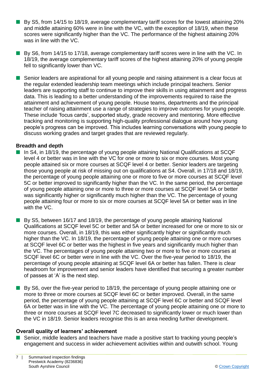- $\blacksquare$  By S5, from 14/15 to 18/19, average complementary tariff scores for the lowest attaining 20% and middle attaining 60% were in line with the VC, with the exception of 18/19, when these scores were significantly higher than the VC. The performance of the highest attaining 20% was in line with the VC.
- $\blacksquare$  By S6, from 14/15 to 17/18, average complementary tariff scores were in line with the VC. In 18/19, the average complementary tariff scores of the highest attaining 20% of young people fell to significantly lower than VC.
- Senior leaders are aspirational for all young people and raising attainment is a clear focus at the regular extended leadership team meetings which include principal teachers. Senior leaders are supporting staff to continue to improve their skills in using attainment and progress data. This is leading to a better understanding of the improvements required to raise the attainment and achievement of young people. House teams, departments and the principal teacher of raising attainment use a range of strategies to improve outcomes for young people. These include 'focus cards', supported study, grade recovery and mentoring. More effective tracking and monitoring is supporting high-quality professional dialogue around how young people's progress can be improved. This includes learning conversations with young people to discuss working grades and target grades that are reviewed regularly.

#### **Breadth and depth**

- In S4, in 18/19, the percentage of young people attaining National Qualifications at SCQF level 4 or better was in line with the VC for one or more to six or more courses. Most young people attained six or more courses at SCQF level 4 or better. Senior leaders are targeting those young people at risk of missing out on qualifications at S4. Overall, in 17/18 and 18/19, the percentage of young people attaining one or more to five or more courses at SCQF level 5C or better improved to significantly higher than the VC. In the same period, the percentage of young people attaining one or more to three or more courses at SCQF level 5A or better was significantly higher or significantly much higher than the VC. The percentage of young people attaining four or more to six or more courses at SCQF level 5A or better was in line with the VC.
- By S5, between 16/17 and 18/19, the percentage of young people attaining National Qualifications at SCQF level 5C or better and 5A or better increased for one or more to six or more courses. Overall, in 18/19, this was either significantly higher or significantly much higher than the VC. In 18/19, the percentage of young people attaining one or more courses at SCQF level 6C or better was the highest in five years and significantly much higher than the VC. The percentages of young people attaining two or more to five or more courses at SCQF level 6C or better were in line with the VC. Over the five-year period to 18/19, the percentage of young people attaining at SCQF level 6A or better has fallen. There is clear headroom for improvement and senior leaders have identified that securing a greater number of passes at 'A' is the next step.
- **n** By S6, over the five-year period to 18/19, the percentage of young people attaining one or more to three or more courses at SCQF level 6C or better improved. Overall, in the same period, the percentage of young people attaining at SCQF level 6C or better and SCQF level 6A or better was in line with the VC. The percentage of young people attaining one or more to three or more courses at SCQF level 7C decreased to significantly lower or much lower than the VC in 18/19. Senior leaders recognise this is an area needing further development.

#### **Overall quality of learners' achievement**

Senior, middle leaders and teachers have made a positive start to tracking young people's engagement and success in wider achievement activities within and outwith school. Young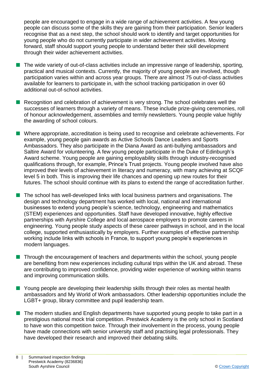people are encouraged to engage in a wide range of achievement activities. A few young people can discuss some of the skills they are gaining from their participation. Senior leaders recognise that as a next step, the school should work to identify and target opportunities for young people who do not currently participate in wider achievement activities. Moving forward, staff should support young people to understand better their skill development through their wider achievement activities.

- $\blacksquare$  The wide variety of out-of-class activities include an impressive range of leadership, sporting, practical and musical contexts. Currently, the majority of young people are involved, though participation varies within and across year groups. There are almost 75 out-of-class activities available for learners to participate in, with the school tracking participation in over 60 additional out-of-school activities.
- Recognition and celebration of achievement is very strong. The school celebrates well the successes of learners through a variety of means. These include prize-giving ceremonies, roll of honour acknowledgement, assemblies and termly newsletters. Young people value highly the awarding of school colours.
- Where appropriate, accreditation is being used to recognise and celebrate achievements. For example, young people gain awards as Active Schools Dance Leaders and Sports Ambassadors. They also participate in the Diana Award as anti-bullying ambassadors and Saltire Award for volunteering. A few young people participate in the Duke of Edinburgh's Award scheme. Young people are gaining employability skills through industry-recognised qualifications through, for example, Prince's Trust projects. Young people involved have also improved their levels of achievement in literacy and numeracy, with many achieving at SCQF level 5 in both. This is improving their life chances and opening up new routes for their futures. The school should continue with its plans to extend the range of accreditation further.
- $\blacksquare$  The school has well-developed links with local business partners and organisations. The design and technology department has worked with local, national and international businesses to extend young people's science, technology, engineering and mathematics (STEM) experiences and opportunities. Staff have developed innovative, highly effective partnerships with Ayrshire College and local aerospace employers to promote careers in engineering. Young people study aspects of these career pathways in school, and in the local college, supported enthusiastically by employers. Further examples of effective partnership working include links with schools in France, to support young people's experiences in modern languages.
- $\blacksquare$  Through the encouragement of teachers and departments within the school, young people are benefiting from new experiences including cultural trips within the UK and abroad. These are contributing to improved confidence, providing wider experience of working within teams and improving communication skills.
- **n** Young people are developing their leadership skills through their roles as mental health ambassadors and My World of Work ambassadors. Other leadership opportunities include the LGBT+ group, library committee and pupil leadership team.
- $\blacksquare$  The modern studies and English departments have supported young people to take part in a prestigious national mock trial competition. Prestwick Academy is the only school in Scotland to have won this competition twice. Through their involvement in the process, young people have made connections with senior university staff and practising legal professionals. They have developed their research and improved their debating skills.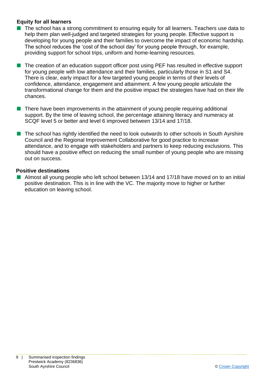#### **Equity for all learners**

- $\blacksquare$  The school has a strong commitment to ensuring equity for all learners. Teachers use data to help them plan well-judged and targeted strategies for young people. Effective support is developing for young people and their families to overcome the impact of economic hardship. The school reduces the 'cost of the school day' for young people through, for example, providing support for school trips, uniform and home-learning resources.
- The creation of an education support officer post using PEF has resulted in effective support for young people with low attendance and their families, particularly those in S1 and S4. There is clear, early impact for a few targeted young people in terms of their levels of confidence, attendance, engagement and attainment. A few young people articulate the transformational change for them and the positive impact the strategies have had on their life chances.
- $\blacksquare$  There have been improvements in the attainment of young people requiring additional support. By the time of leaving school, the percentage attaining literacy and numeracy at SCQF level 5 or better and level 6 improved between 13/14 and 17/18.
- $\blacksquare$  The school has rightly identified the need to look outwards to other schools in South Ayrshire Council and the Regional Improvement Collaborative for good practice to increase attendance, and to engage with stakeholders and partners to keep reducing exclusions. This should have a positive effect on reducing the small number of young people who are missing out on success.

#### **Positive destinations**

Almost all young people who left school between 13/14 and 17/18 have moved on to an initial positive destination. This is in line with the VC. The majority move to higher or further education on leaving school.